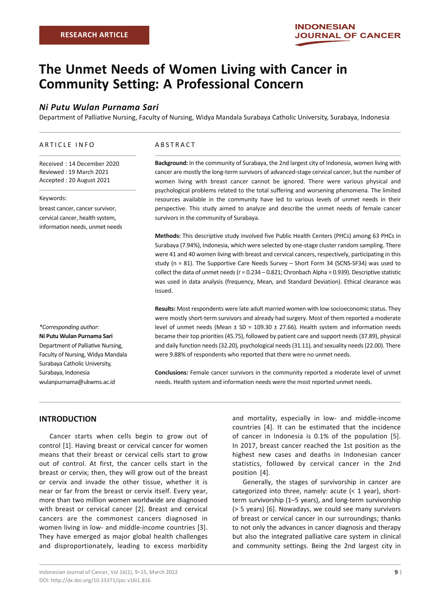# **The Unmet Needs of Women Living with Cancer in Community Setting: A Professional Concern**

# *Ni Putu Wulan Purnama Sari*

Department of Palliative Nursing, Faculty of Nursing, Widya Mandala Surabaya Catholic University, Surabaya, Indonesia

#### ARTICLE INFO

Received : 14 December 2020 Reviewed : 19 March 2021 Accepted : 20 August 2021

Keywords:

breast cancer, cancer survivor, cervical cancer, health system, information needs, unmet needs

*\*Corresponding author:* **Ni Putu Wulan Purnama Sari** Department of Palliative Nursing, Faculty of Nursing, Widya Mandala Surabaya Catholic University, Surabaya, Indonesia wulanpurnama@ukwms.ac.id

#### ABSTRACT

**Background:** In the community of Surabaya, the 2nd largest city of Indonesia, women living with cancer are mostly the long-term survivors of advanced-stage cervical cancer, but the number of women living with breast cancer cannot be ignored. There were various physical and psychological problems related to the total suffering and worsening phenomena. The limited resources available in the community have led to various levels of unmet needs in their perspective. This study aimed to analyze and describe the unmet needs of female cancer survivors in the community of Surabaya.

**Methods:** This descriptive study involved five Public Health Centers (PHCs) among 63 PHCs in Surabaya (7.94%), Indonesia, which were selected by one-stage cluster random sampling. There were 41 and 40 women living with breast and cervical cancers, respectively, participating in this study (n = 81). The Supportive Care Needs Survey – Short Form 34 (SCNS-SF34) was used to collect the data of unmet needs ( $r = 0.234 - 0.821$ ; Chronbach Alpha = 0.939). Descriptive statistic was used in data analysis (frequency, Mean, and Standard Deviation). Ethical clearance was issued.

**Results:** Most respondents were late adult married women with low socioeconomic status. They were mostly short-term survivors and already had surgery. Most of them reported a moderate level of unmet needs (Mean  $\pm$  SD = 109.30  $\pm$  27.66). Health system and information needs became their top priorities (45.75), followed by patient care and support needs (37.89), physical and daily function needs (32.20), psychological needs (31.11), and sexuality needs (22.00). There were 9.88% of respondents who reported that there were no unmet needs.

**Conclusions:** Female cancer survivors in the community reported a moderate level of unmet needs. Health system and information needs were the most reported unmet needs.

## **INTRODUCTION**

Cancer starts when cells begin to grow out of control [1]. Having breast or cervical cancer for women means that their breast or cervical cells start to grow out of control. At first, the cancer cells start in the breast or cervix; then, they will grow out of the breast or cervix and invade the other tissue, whether it is near or far from the breast or cervix itself. Every year, more than two million women worldwide are diagnosed with breast or cervical cancer [2]. Breast and cervical cancers are the commonest cancers diagnosed in women living in low- and middle-income countries [3]. They have emerged as major global health challenges and disproportionately, leading to excess morbidity

and mortality, especially in low- and middle-income countries [4]. It can be estimated that the incidence of cancer in Indonesia is 0.1% of the population [5]. In 2017, breast cancer reached the 1st position as the highest new cases and deaths in Indonesian cancer statistics, followed by cervical cancer in the 2nd position [4].

Generally, the stages of survivorship in cancer are categorized into three, namely: acute (< 1 year), shortterm survivorship (1–5 years), and long-term survivorship (> 5 years) [6]. Nowadays, we could see many survivors of breast or cervical cancer in our surroundings; thanks to not only the advances in cancer diagnosis and therapy but also the integrated palliative care system in clinical and community settings. Being the 2nd largest city in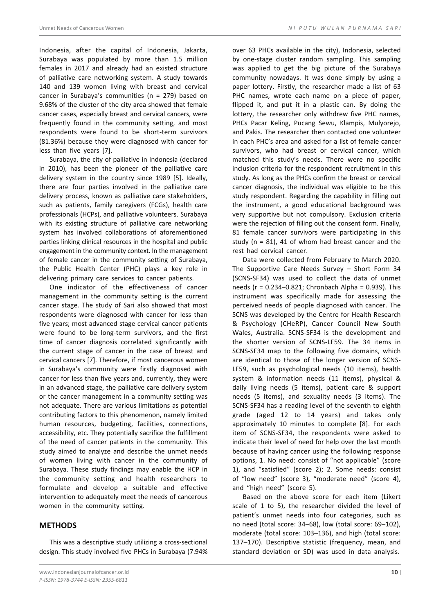Indonesia, after the capital of Indonesia, Jakarta, Surabaya was populated by more than 1.5 million females in 2017 and already had an existed structure of palliative care networking system. A study towards 140 and 139 women living with breast and cervical cancer in Surabaya's communities (n = 279) based on 9.68% of the cluster of the city area showed that female cancer cases, especially breast and cervical cancers, were frequently found in the community setting, and most respondents were found to be short-term survivors (81.36%) because they were diagnosed with cancer for less than five years [7].

Surabaya, the city of palliative in Indonesia (declared in 2010), has been the pioneer of the palliative care delivery system in the country since 1989 [5]. Ideally, there are four parties involved in the palliative care delivery process, known as palliative care stakeholders, such as patients, family caregivers (FCGs), health care professionals (HCPs), and palliative volunteers. Surabaya with its existing structure of palliative care networking system has involved collaborations of aforementioned parties linking clinical resources in the hospital and public engagement in the community context. In the management of female cancer in the community setting of Surabaya, the Public Health Center (PHC) plays a key role in delivering primary care services to cancer patients.

One indicator of the effectiveness of cancer management in the community setting is the current cancer stage. The study of Sari also showed that most respondents were diagnosed with cancer for less than five years; most advanced stage cervical cancer patients were found to be long-term survivors, and the first time of cancer diagnosis correlated significantly with the current stage of cancer in the case of breast and cervical cancers [7]. Therefore, if most cancerous women in Surabaya's community were firstly diagnosed with cancer for less than five years and, currently, they were in an advanced stage, the palliative care delivery system or the cancer management in a community setting was not adequate. There are various limitations as potential contributing factors to this phenomenon, namely limited human resources, budgeting, facilities, connections, accessibility, etc. They potentially sacrifice the fulfillment of the need of cancer patients in the community. This study aimed to analyze and describe the unmet needs of women living with cancer in the community of Surabaya. These study findings may enable the HCP in the community setting and health researchers to formulate and develop a suitable and effective intervention to adequately meet the needs of cancerous women in the community setting.

## **METHODS**

This was a descriptive study utilizing a cross-sectional design. This study involved five PHCs in Surabaya (7.94% over 63 PHCs available in the city), Indonesia, selected by one-stage cluster random sampling. This sampling was applied to get the big picture of the Surabaya community nowadays. It was done simply by using a paper lottery. Firstly, the researcher made a list of 63 PHC names, wrote each name on a piece of paper, flipped it, and put it in a plastic can. By doing the lottery, the researcher only withdrew five PHC names, PHCs Pacar Keling, Pucang Sewu, Klampis, Mulyorejo, and Pakis. The researcher then contacted one volunteer in each PHC's area and asked for a list of female cancer survivors, who had breast or cervical cancer, which matched this study's needs. There were no specific inclusion criteria for the respondent recruitment in this study. As long as the PHCs confirm the breast or cervical cancer diagnosis, the individual was eligible to be this study respondent. Regarding the capability in filling out the instrument, a good educational background was very supportive but not compulsory. Exclusion criteria were the rejection of filling out the consent form. Finally, 81 female cancer survivors were participating in this study ( $n = 81$ ), 41 of whom had breast cancer and the rest had cervical cancer.

Data were collected from February to March 2020. The Supportive Care Needs Survey – Short Form 34 (SCNS-SF34) was used to collect the data of unmet needs (r = 0.234–0.821; Chronbach Alpha = 0.939). This instrument was specifically made for assessing the perceived needs of people diagnosed with cancer. The SCNS was developed by the Centre for Health Research & Psychology (CHeRP), Cancer Council New South Wales, Australia. SCNS-SF34 is the development and the shorter version of SCNS-LF59. The 34 items in SCNS-SF34 map to the following five domains, which are identical to those of the longer version of SCNS-LF59, such as psychological needs (10 items), health system & information needs (11 items), physical & daily living needs (5 items), patient care & support needs (5 items), and sexuality needs (3 items). The SCNS-SF34 has a reading level of the seventh to eighth grade (aged 12 to 14 years) and takes only approximately 10 minutes to complete [8]. For each item of SCNS-SF34, the respondents were asked to indicate their level of need for help over the last month because of having cancer using the following response options, 1. No need: consist of "not applicable" (score 1), and "satisfied" (score 2); 2. Some needs: consist of "low need" (score 3), "moderate need" (score 4), and "high need" (score 5).

Based on the above score for each item (Likert scale of 1 to 5), the researcher divided the level of patient's unmet needs into four categories, such as no need (total score: 34–68), low (total score: 69–102), moderate (total score: 103–136), and high (total score: 137–170). Descriptive statistic (frequency, mean, and standard deviation or SD) was used in data analysis.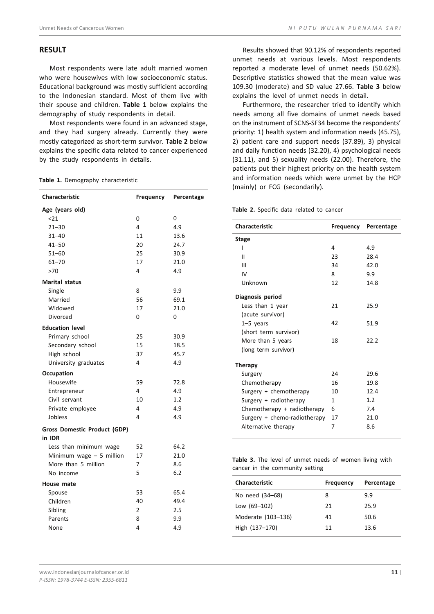## **RESULT**

Most respondents were late adult married women who were housewives with low socioeconomic status. Educational background was mostly sufficient according to the Indonesian standard. Most of them live with their spouse and children. **Table 1** below explains the demography of study respondents in detail.

Most respondents were found in an advanced stage, and they had surgery already. Currently they were mostly categorized as short-term survivor. **Table 2** below explains the specific data related to cancer experienced by the study respondents in details.

**Table 1.** Demography characteristic

| <b>Characteristic</b>               | Frequency | Percentage |  |
|-------------------------------------|-----------|------------|--|
| Age (years old)                     |           |            |  |
| $21$                                | 0         | 0          |  |
| $21 - 30$                           | 4         | 4.9        |  |
| $31 - 40$                           | 11        | 13.6       |  |
| $41 - 50$                           | 20        | 24.7       |  |
| $51 - 60$                           | 25        | 30.9       |  |
| $61 - 70$                           | 17        | 21.0       |  |
| >70                                 | 4         | 4.9        |  |
| Marital status                      |           |            |  |
| Single                              | 8         | 9.9        |  |
| Married                             | 56        | 69.1       |  |
| Widowed                             | 17        | 21.0       |  |
| Divorced                            | 0         | 0          |  |
| <b>Education level</b>              |           |            |  |
| Primary school                      | 25        | 30.9       |  |
| Secondary school                    | 15        | 18.5       |  |
| High school                         | 37        | 45.7       |  |
| University graduates                | 4         | 4.9        |  |
| <b>Occupation</b>                   |           |            |  |
| Housewife                           | 59        | 72.8       |  |
| Entrepreneur                        | 4         | 4.9        |  |
| Civil servant                       | 10        | 1.2        |  |
| Private employee                    | 4         | 4.9        |  |
| Jobless                             | 4         | 4.9        |  |
| <b>Gross Domestic Product (GDP)</b> |           |            |  |
| in IDR                              |           |            |  |
| Less than minimum wage              | 52        | 64.2       |  |
| Minimum wage $-5$ million           | 17        | 21.0       |  |
| More than 5 million                 | 7         | 8.6        |  |
| No income                           | 5         | 6.2        |  |
| House mate                          |           |            |  |
| Spouse                              | 53        | 65.4       |  |
| Children                            | 40        | 49.4       |  |
| Sibling                             | 2         | 2.5        |  |
| Parents                             | 8         | 9.9        |  |
| None                                | 4         | 4.9        |  |
|                                     |           |            |  |

Results showed that 90.12% of respondents reported unmet needs at various levels. Most respondents reported a moderate level of unmet needs (50.62%). Descriptive statistics showed that the mean value was 109.30 (moderate) and SD value 27.66. **Table 3** below explains the level of unmet needs in detail.

Furthermore, the researcher tried to identify which needs among all five domains of unmet needs based on the instrument of SCNS-SF34 become the respondents' priority: 1) health system and information needs (45.75), 2) patient care and support needs (37.89), 3) physical and daily function needs (32.20), 4) psychological needs (31.11), and 5) sexuality needs (22.00). Therefore, the patients put their highest priority on the health system and information needs which were unmet by the HCP (mainly) or FCG (secondarily).

**Table 2.** Specific data related to cancer

| <b>Characteristic</b>        | Frequency | Percentage |  |
|------------------------------|-----------|------------|--|
| <b>Stage</b>                 |           |            |  |
| I                            | 4         | 4.9        |  |
| Ш                            | 23        | 28.4       |  |
| Ш                            | 34        | 42.0       |  |
| IV                           | 8         | 9.9        |  |
| Unknown                      | 12        | 14.8       |  |
| Diagnosis period             |           |            |  |
| Less than 1 year             | 21        | 25.9       |  |
| (acute survivor)             |           |            |  |
| $1-5$ years                  | 42        | 51.9       |  |
| (short term survivor)        |           |            |  |
| More than 5 years            | 18        | 22.2       |  |
| (long term survivor)         |           |            |  |
| Therapy                      |           |            |  |
| Surgery                      | 24        | 29.6       |  |
| Chemotherapy                 | 16        | 19.8       |  |
| Surgery $+$ chemotherapy     | 10        | 12.4       |  |
| Surgery + radiotherapy       | 1         | 1.2        |  |
| Chemotherapy + radiotherapy  | 6         | 7.4        |  |
| Surgery + chemo-radiotherapy | 17        | 21.0       |  |
| Alternative therapy          | 7         | 8.6        |  |

**Table 3.** The level of unmet needs of women living with cancer in the community setting

| <b>Characteristic</b> | <b>Frequency</b> | Percentage |  |
|-----------------------|------------------|------------|--|
| No need (34–68)       | 8                | 9.9        |  |
| Low (69-102)          | 21               | 25.9       |  |
| Moderate (103-136)    | 41               | 50.6       |  |
| High (137-170)        | 11               | 13.6       |  |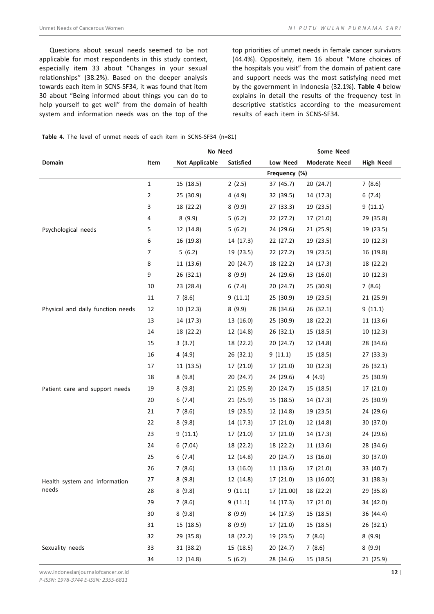Questions about sexual needs seemed to be not applicable for most respondents in this study context, especially item 33 about "Changes in your sexual relationships" (38.2%). Based on the deeper analysis towards each item in SCNS-SF34, it was found that item 30 about "Being informed about things you can do to help yourself to get well" from the domain of health system and information needs was on the top of the top priorities of unmet needs in female cancer survivors (44.4%). Oppositely, item 16 about "More choices of the hospitals you visit" from the domain of patient care and support needs was the most satisfying need met by the government in Indonesia (32.1%). **Table 4** below explains in detail the results of the frequency test in descriptive statistics according to the measurement results of each item in SCNS-SF34.

 **Table 4.** The level of unmet needs of each item in SCNS-SF34 (n=81)

|                                        | Item           | No Need               |           | Some Need  |                      |                  |
|----------------------------------------|----------------|-----------------------|-----------|------------|----------------------|------------------|
| Domain                                 |                | <b>Not Applicable</b> | Satisfied | Low Need   | <b>Moderate Need</b> | <b>High Need</b> |
|                                        |                | Frequency (%)         |           |            |                      |                  |
|                                        | $\mathbf{1}$   | 15 (18.5)             | 2(2.5)    | 37 (45.7)  | 20 (24.7)            | 7(8.6)           |
|                                        | $\overline{2}$ | 25 (30.9)             | 4(4.9)    | 32 (39.5)  | 14 (17.3)            | 6(7.4)           |
|                                        | 3              | 18 (22.2)             | 8(9.9)    | 27 (33.3)  | 19 (23.5)            | 9(11.1)          |
|                                        | 4              | 8(9.9)                | 5(6.2)    | 22 (27.2)  | 17 (21.0)            | 29 (35.8)        |
| Psychological needs                    | 5              | 12 (14.8)             | 5(6.2)    | 24 (29.6)  | 21 (25.9)            | 19 (23.5)        |
|                                        | 6              | 16 (19.8)             | 14 (17.3) | 22(27.2)   | 19 (23.5)            | 10(12.3)         |
|                                        | 7              | 5(6.2)                | 19 (23.5) | 22(27.2)   | 19 (23.5)            | 16 (19.8)        |
|                                        | 8              | 11 (13.6)             | 20 (24.7) | 18 (22.2)  | 14 (17.3)            | 18 (22.2)        |
|                                        | 9              | 26 (32.1)             | 8(9.9)    | 24 (29.6)  | 13 (16.0)            | 10(12.3)         |
|                                        | 10             | 23 (28.4)             | 6(7.4)    | 20 (24.7)  | 25 (30.9)            | 7(8.6)           |
|                                        | 11             | 7(8.6)                | 9(11.1)   | 25(30.9)   | 19 (23.5)            | 21 (25.9)        |
| Physical and daily function needs      | 12             | 10(12.3)              | 8(9.9)    | 28 (34.6)  | 26 (32.1)            | 9(11.1)          |
|                                        | 13             | 14 (17.3)             | 13 (16.0) | 25 (30.9)  | 18 (22.2)            | 11 (13.6)        |
|                                        | 14             | 18 (22.2)             | 12 (14.8) | 26(32.1)   | 15 (18.5)            | 10(12.3)         |
|                                        | 15             | 3(3.7)                | 18 (22.2) | 20 (24.7)  | 12 (14.8)            | 28 (34.6)        |
|                                        | 16             | 4 (4.9)               | 26 (32.1) | 9(11.1)    | 15 (18.5)            | 27 (33.3)        |
|                                        | 17             | 11 (13.5)             | 17 (21.0) | 17 (21.0)  | 10(12.3)             | 26 (32.1)        |
|                                        | 18             | 8(9.8)                | 20 (24.7) | 24 (29.6)  | 4 (4.9)              | 25 (30.9)        |
| Patient care and support needs         | 19             | 8(9.8)                | 21 (25.9) | 20(24.7)   | 15 (18.5)            | 17 (21.0)        |
|                                        | 20             | 6(7.4)                | 21 (25.9) | 15 (18.5)  | 14 (17.3)            | 25 (30.9)        |
|                                        | 21             | 7(8.6)                | 19 (23.5) | 12 (14.8)  | 19 (23.5)            | 24 (29.6)        |
|                                        | 22             | 8(9.8)                | 14 (17.3) | 17 (21.0)  | 12 (14.8)            | 30 (37.0)        |
|                                        | 23             | 9(11.1)               | 17 (21.0) | 17 (21.0)  | 14 (17.3)            | 24 (29.6)        |
| Health system and information<br>needs | 24             | 6(7.04)               | 18 (22.2) | 18 (22.2)  | 11 (13.6)            | 28 (34.6)        |
|                                        | 25             | 6(7.4)                | 12 (14.8) | 20(24.7)   | 13 (16.0)            | 30 (37.0)        |
|                                        | 26             | 7(8.6)                | 13 (16.0) | 11 (13.6)  | 17 (21.0)            | 33 (40.7)        |
|                                        | 27             | 8(9.8)                | 12 (14.8) | 17 (21.0)  | 13 (16.00)           | 31 (38.3)        |
|                                        | 28             | 8(9.8)                | 9(11.1)   | 17 (21.00) | 18 (22.2)            | 29 (35.8)        |
|                                        | 29             | 7(8.6)                | 9(11.1)   | 14 (17.3)  | 17 (21.0)            | 34 (42.0)        |
|                                        | 30             | 8(9.8)                | 8(9.9)    | 14 (17.3)  | 15 (18.5)            | 36 (44.4)        |
|                                        | 31             | 15 (18.5)             | 8(9.9)    | 17 (21.0)  | 15 (18.5)            | 26 (32.1)        |
| Sexuality needs                        | 32             | 29 (35.8)             | 18 (22.2) | 19 (23.5)  | 7(8.6)               | 8(9.9)           |
|                                        | 33             | 31 (38.2)             | 15 (18.5) | 20 (24.7)  | 7(8.6)               | 8(9.9)           |
|                                        | 34             | 12 (14.8)             | 5(6.2)    | 28 (34.6)  | 15 (18.5)            | 21 (25.9)        |

www.indonesianjournalofcancer.or.id

*P-ISSN: 1978-3744 E-ISSN: 2355-6811*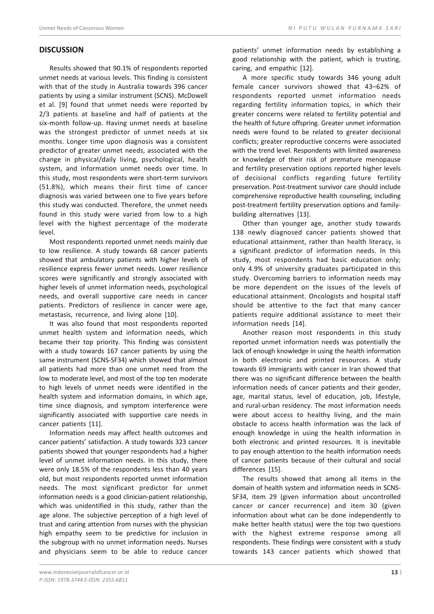## **DISCUSSION**

Results showed that 90.1% of respondents reported unmet needs at various levels. This finding is consistent with that of the study in Australia towards 396 cancer patients by using a similar instrument (SCNS). McDowell et al. [9] found that unmet needs were reported by 2/3 patients at baseline and half of patients at the six-month follow-up. Having unmet needs at baseline was the strongest predictor of unmet needs at six months. Longer time upon diagnosis was a consistent predictor of greater unmet needs, associated with the change in physical/daily living, psychological, health system, and information unmet needs over time. In this study, most respondents were short-term survivors (51.8%), which means their first time of cancer diagnosis was varied between one to five years before this study was conducted. Therefore, the unmet needs found in this study were varied from low to a high level with the highest percentage of the moderate level.

Most respondents reported unmet needs mainly due to low resilience. A study towards 68 cancer patients showed that ambulatory patients with higher levels of resilience express fewer unmet needs. Lower resilience scores were significantly and strongly associated with higher levels of unmet information needs, psychological needs, and overall supportive care needs in cancer patients. Predictors of resilience in cancer were age, metastasis, recurrence, and living alone [10].

It was also found that most respondents reported unmet health system and information needs, which became their top priority. This finding was consistent with a study towards 167 cancer patients by using the same instrument (SCNS-SF34) which showed that almost all patients had more than one unmet need from the low to moderate level, and most of the top ten moderate to high levels of unmet needs were identified in the health system and information domains, in which age, time since diagnosis, and symptom interference were significantly associated with supportive care needs in cancer patients [11].

Information needs may affect health outcomes and cancer patients' satisfaction. A study towards 323 cancer patients showed that younger respondents had a higher level of unmet information needs. In this study, there were only 18.5% of the respondents less than 40 years old, but most respondents reported unmet information needs. The most significant predictor for unmet information needs is a good clinician-patient relationship, which was unidentified in this study, rather than the age alone. The subjective perception of a high level of trust and caring attention from nurses with the physician high empathy seem to be predictive for inclusion in the subgroup with no unmet information needs. Nurses and physicians seem to be able to reduce cancer

patients' unmet information needs by establishing a good relationship with the patient, which is trusting, caring, and empathic [12].

A more specific study towards 346 young adult female cancer survivors showed that 43–62% of respondents reported unmet information needs regarding fertility information topics, in which their greater concerns were related to fertility potential and the health of future offspring. Greater unmet information needs were found to be related to greater decisional conflicts; greater reproductive concerns were associated with the trend level. Respondents with limited awareness or knowledge of their risk of premature menopause and fertility preservation options reported higher levels of decisional conflicts regarding future fertility preservation. Post-treatment survivor care should include comprehensive reproductive health counseling, including post-treatment fertility preservation options and familybuilding alternatives [13].

Other than younger age, another study towards 138 newly diagnosed cancer patients showed that educational attainment, rather than health literacy, is a significant predictor of information needs. In this study, most respondents had basic education only; only 4.9% of university graduates participated in this study. Overcoming barriers to information needs may be more dependent on the issues of the levels of educational attainment. Oncologists and hospital staff should be attentive to the fact that many cancer patients require additional assistance to meet their information needs [14].

Another reason most respondents in this study reported unmet information needs was potentially the lack of enough knowledge in using the health information in both electronic and printed resources. A study towards 69 immigrants with cancer in Iran showed that there was no significant difference between the health information needs of cancer patients and their gender, age, marital status, level of education, job, lifestyle, and rural-urban residency. The most information needs were about access to healthy living, and the main obstacle to access health information was the lack of enough knowledge in using the health information in both electronic and printed resources. It is inevitable to pay enough attention to the health information needs of cancer patients because of their cultural and social differences [15].

The results showed that among all items in the domain of health system and information needs in SCNS-SF34, item 29 (given information about uncontrolled cancer or cancer recurrence) and item 30 (given information about what can be done independently to make better health status) were the top two questions with the highest extreme response among all respondents. These findings were consistent with a study towards 143 cancer patients which showed that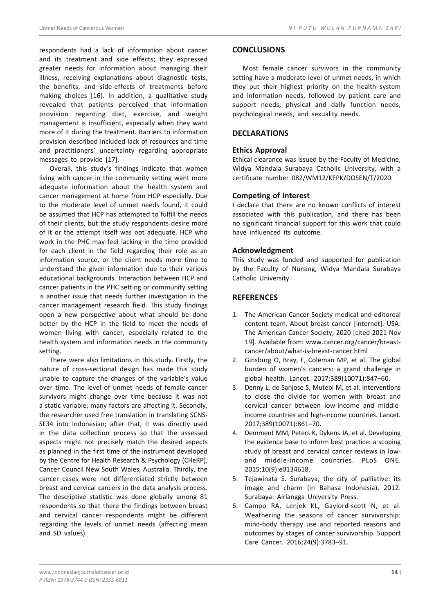respondents had a lack of information about cancer and its treatment and side effects; they expressed greater needs for information about managing their illness, receiving explanations about diagnostic tests, the benefits, and side-effects of treatments before making choices [16]. In addition, a qualitative study revealed that patients perceived that information provision regarding diet, exercise, and weight management is insufficient, especially when they want more of it during the treatment. Barriers to information provision described included lack of resources and time and practitioners' uncertainty regarding appropriate messages to provide [17].

Overall, this study's findings indicate that women living with cancer in the community setting want more adequate information about the health system and cancer management at home from HCP especially. Due to the moderate level of unmet needs found, it could be assumed that HCP has attempted to fulfill the needs of their clients, but the study respondents desire more of it or the attempt itself was not adequate. HCP who work in the PHC may feel lacking in the time provided for each client in the field regarding their role as an information source, or the client needs more time to understand the given information due to their various educational backgrounds. Interaction between HCP and cancer patients in the PHC setting or community setting is another issue that needs further investigation in the cancer management research field. This study findings open a new perspective about what should be done better by the HCP in the field to meet the needs of women living with cancer, especially related to the health system and information needs in the community setting.

There were also limitations in this study. Firstly, the nature of cross-sectional design has made this study unable to capture the changes of the variable's value over time. The level of unmet needs of female cancer survivors might change over time because it was not a static variable; many factors are affecting it. Secondly, the researcher used free translation in translating SCNS-SF34 into Indonesian; after that, it was directly used in the data collection process so that the assessed aspects might not precisely match the desired aspects as planned in the first time of the instrument developed by the Centre for Health Research & Psychology (CHeRP), Cancer Council New South Wales, Australia. Thirdly, the cancer cases were not differentiated strictly between breast and cervical cancers in the data analysis process. The descriptive statistic was done globally among 81 respondents so that there the findings between breast and cervical cancer respondents might be different regarding the levels of unmet needs (affecting mean and SD values).

## **CONCLUSIONS**

Most female cancer survivors in the community setting have a moderate level of unmet needs, in which they put their highest priority on the health system and information needs, followed by patient care and support needs, physical and daily function needs, psychological needs, and sexuality needs.

## **DECLARATIONS**

## **Ethics Approval**

Ethical clearance was issued by the Faculty of Medicine, Widya Mandala Surabaya Catholic University, with a certificate number 082/WM12/KEPK/DOSEN/T/2020.

## **Competing of Interest**

I declare that there are no known conflicts of interest associated with this publication, and there has been no significant financial support for this work that could have influenced its outcome.

#### **Acknowledgment**

This study was funded and supported for publication by the Faculty of Nursing, Widya Mandala Surabaya Catholic University.

## **REFERENCES**

- 1. The American Cancer Society medical and editoreal content team. About breast cancer [internet]. USA: The American Cancer Society; 2020 [cited 2021 Nov 19]. Available from: www.cancer.org/cancer/breastcancer/about/what-is-breast-cancer.html
- 2. Ginsburg O, Bray, F, Coleman MP, et al. The global burden of women's cancers: a grand challenge in global health. Lancet. 2017;389(10071):847–60.
- 3. Denny L, de Sanjose S, Mutebi M, et al. Interventions to close the divide for women with breast and cervical cancer between low-income and middleincome countries and high-income countries. Lancet. 2017;389(10071):861–70.
- 4. Demment MM, Peters K, Dykens JA, et al. Developing the evidence base to inform best practice: a scoping study of breast and cervical cancer reviews in lowand middle-income countries. PLoS ONE. 2015;10(9):e0134618.
- 5. Tejawinata S. Surabaya, the city of palliative: its image and charm (in Bahasa Indonesia). 2012. Surabaya: Airlangga University Press.
- 6. Campo RA, Lenjek KL, Gaylord-scott N, et al. Weathering the seasons of cancer survivorship: mind-body therapy use and reported reasons and outcomes by stages of cancer survivorship. Support Care Cancer. 2016;24(9):3783–91.